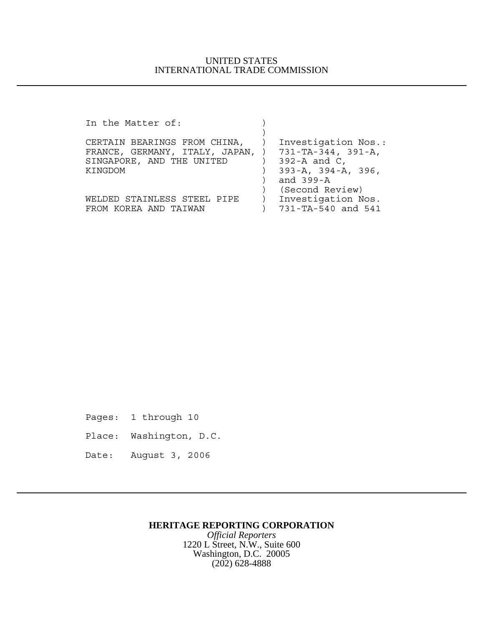| In the Matter of:                                   |                                 |
|-----------------------------------------------------|---------------------------------|
|                                                     |                                 |
| CERTAIN BEARINGS FROM CHINA,                        | Investigation Nos.:             |
| FRANCE, GERMANY, ITALY, JAPAN, ) 731-TA-344, 391-A, |                                 |
| SINGAPORE, AND THE UNITED                           | $392 - A$ and C,                |
| KINGDOM                                             | $393 - A$ , $394 - A$ , $396$ , |
|                                                     | and 399-A                       |
|                                                     | (Second Review)                 |
| WELDED STAINLESS STEEL PIPE                         | Investigation Nos.              |
| FROM KOREA AND TAIWAN                               | 731-TA-540 and 541              |

Pages: 1 through 10

- Place: Washington, D.C.
- Date: August 3, 2006

## **HERITAGE REPORTING CORPORATION**

*Official Reporters* 1220 L Street, N.W., Suite 600 Washington, D.C. 20005 (202) 628-4888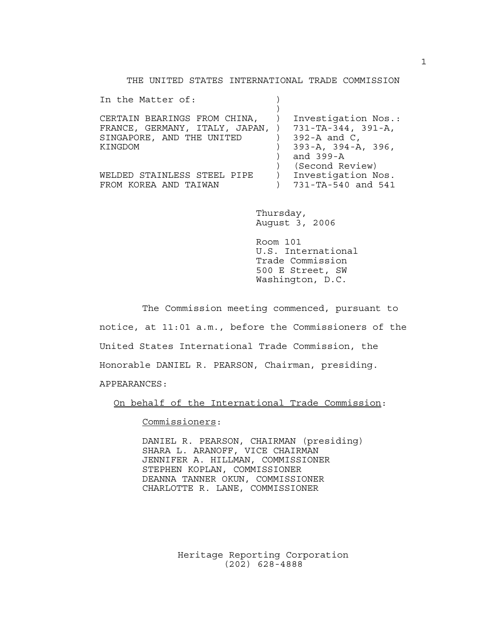THE UNITED STATES INTERNATIONAL TRADE COMMISSION

| In the Matter of:                                                                                                           |                                                                            |
|-----------------------------------------------------------------------------------------------------------------------------|----------------------------------------------------------------------------|
| CERTAIN BEARINGS FROM CHINA,<br>FRANCE, GERMANY, ITALY, JAPAN, ) 731-TA-344, 391-A,<br>SINGAPORE, AND THE UNITED<br>KINGDOM | Investigation Nos.:<br>$392 - A$ and C,<br>$393 - A$ , $394 - A$ , $396$ , |
| WELDED STAINLESS STEEL PIPE<br>FROM KOREA AND TAIWAN                                                                        | and 399-A<br>(Second Review)<br>Investigation Nos.<br>731-TA-540 and 541   |

Thursday, August 3, 2006

Room 101 U.S. International Trade Commission 500 E Street, SW Washington, D.C.

The Commission meeting commenced, pursuant to notice, at 11:01 a.m., before the Commissioners of the United States International Trade Commission, the Honorable DANIEL R. PEARSON, Chairman, presiding. APPEARANCES:

On behalf of the International Trade Commission:

Commissioners:

DANIEL R. PEARSON, CHAIRMAN (presiding) SHARA L. ARANOFF, VICE CHAIRMAN JENNIFER A. HILLMAN, COMMISSIONER STEPHEN KOPLAN, COMMISSIONER DEANNA TANNER OKUN, COMMISSIONER CHARLOTTE R. LANE, COMMISSIONER

> Heritage Reporting Corporation (202) 628-4888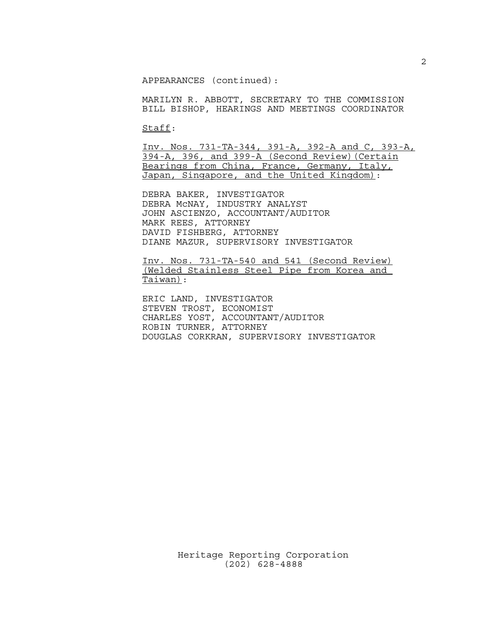APPEARANCES (continued):

MARILYN R. ABBOTT, SECRETARY TO THE COMMISSION BILL BISHOP, HEARINGS AND MEETINGS COORDINATOR

Staff:

Inv. Nos. 731-TA-344, 391-A, 392-A and C, 393-A, 394-A, 396, and 399-A (Second Review)(Certain Bearings from China, France, Germany, Italy, Japan, Singapore, and the United Kingdom):

DEBRA BAKER, INVESTIGATOR DEBRA McNAY, INDUSTRY ANALYST JOHN ASCIENZO, ACCOUNTANT/AUDITOR MARK REES, ATTORNEY DAVID FISHBERG, ATTORNEY DIANE MAZUR, SUPERVISORY INVESTIGATOR

Inv. Nos. 731-TA-540 and 541 (Second Review) (Welded Stainless Steel Pipe from Korea and Taiwan):

ERIC LAND, INVESTIGATOR STEVEN TROST, ECONOMIST CHARLES YOST, ACCOUNTANT/AUDITOR ROBIN TURNER, ATTORNEY DOUGLAS CORKRAN, SUPERVISORY INVESTIGATOR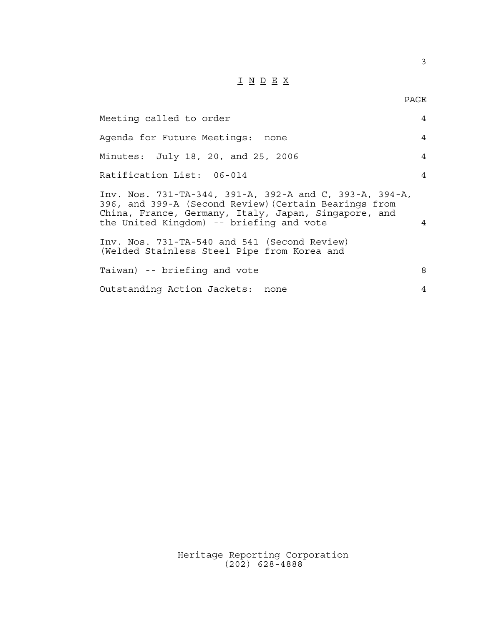## I N D E X

PAGE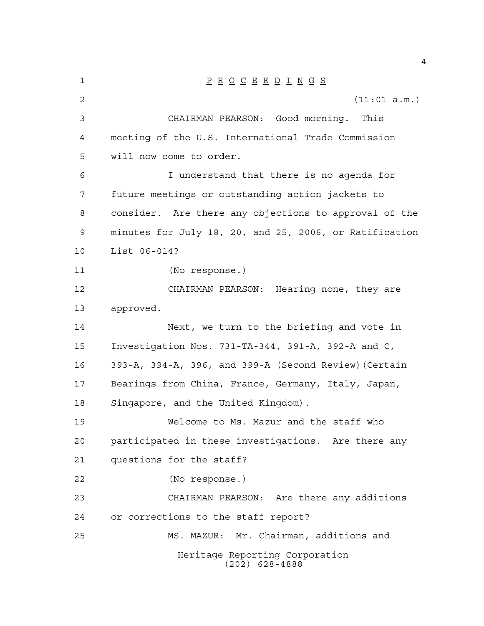| 1  | $\underline{P} \underline{R} \underline{O} \underline{C} \underline{E} \underline{E} \underline{D} \underline{I} \underline{N} \underline{G} \underline{S}$ |
|----|-------------------------------------------------------------------------------------------------------------------------------------------------------------|
| 2  | (11:01 a.m.)                                                                                                                                                |
| 3  | CHAIRMAN PEARSON: Good morning. This                                                                                                                        |
| 4  | meeting of the U.S. International Trade Commission                                                                                                          |
| 5  | will now come to order.                                                                                                                                     |
| 6  | I understand that there is no agenda for                                                                                                                    |
| 7  | future meetings or outstanding action jackets to                                                                                                            |
| 8  | consider. Are there any objections to approval of the                                                                                                       |
| 9  | minutes for July 18, 20, and 25, 2006, or Ratification                                                                                                      |
| 10 | List 06-014?                                                                                                                                                |
| 11 | (No response.)                                                                                                                                              |
| 12 | CHAIRMAN PEARSON: Hearing none, they are                                                                                                                    |
| 13 | approved.                                                                                                                                                   |
| 14 | Next, we turn to the briefing and vote in                                                                                                                   |
| 15 | Investigation Nos. 731-TA-344, 391-A, 392-A and C,                                                                                                          |
| 16 | 393-A, 394-A, 396, and 399-A (Second Review) (Certain                                                                                                       |
| 17 | Bearings from China, France, Germany, Italy, Japan,                                                                                                         |
| 18 | Singapore, and the United Kingdom).                                                                                                                         |
| 19 | Welcome to Ms. Mazur and the staff who                                                                                                                      |
| 20 | participated in these investigations. Are there any                                                                                                         |
| 21 | questions for the staff?                                                                                                                                    |
| 22 | (No response.)                                                                                                                                              |
| 23 | CHAIRMAN PEARSON: Are there any additions                                                                                                                   |
| 24 | or corrections to the staff report?                                                                                                                         |
| 25 | MS. MAZUR: Mr. Chairman, additions and                                                                                                                      |
|    | Heritage Reporting Corporation<br>$(202)$ 628-4888                                                                                                          |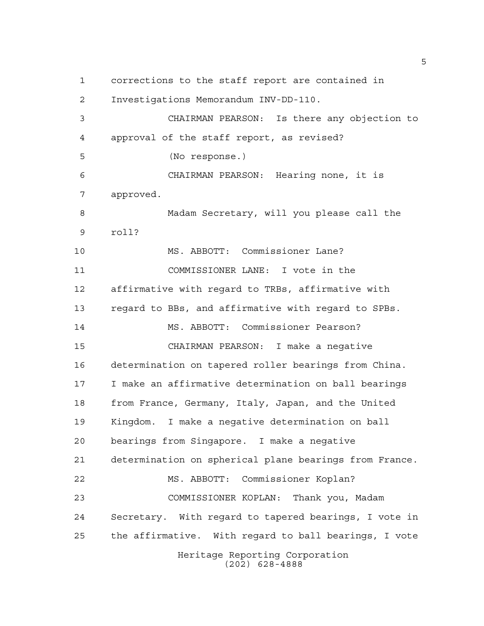Heritage Reporting Corporation corrections to the staff report are contained in Investigations Memorandum INV-DD-110. CHAIRMAN PEARSON: Is there any objection to approval of the staff report, as revised? (No response.) CHAIRMAN PEARSON: Hearing none, it is approved. Madam Secretary, will you please call the roll? MS. ABBOTT: Commissioner Lane? COMMISSIONER LANE: I vote in the affirmative with regard to TRBs, affirmative with regard to BBs, and affirmative with regard to SPBs. MS. ABBOTT: Commissioner Pearson? CHAIRMAN PEARSON: I make a negative determination on tapered roller bearings from China. I make an affirmative determination on ball bearings from France, Germany, Italy, Japan, and the United Kingdom. I make a negative determination on ball bearings from Singapore. I make a negative determination on spherical plane bearings from France. MS. ABBOTT: Commissioner Koplan? COMMISSIONER KOPLAN: Thank you, Madam Secretary. With regard to tapered bearings, I vote in the affirmative. With regard to ball bearings, I vote

(202) 628-4888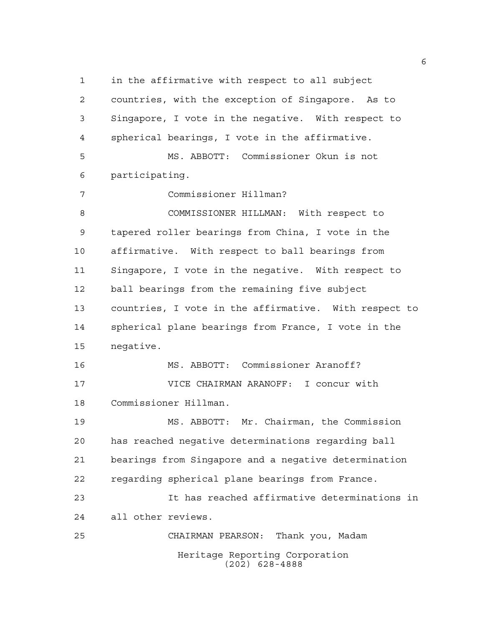Heritage Reporting Corporation in the affirmative with respect to all subject countries, with the exception of Singapore. As to Singapore, I vote in the negative. With respect to spherical bearings, I vote in the affirmative. MS. ABBOTT: Commissioner Okun is not participating. Commissioner Hillman? COMMISSIONER HILLMAN: With respect to tapered roller bearings from China, I vote in the affirmative. With respect to ball bearings from Singapore, I vote in the negative. With respect to ball bearings from the remaining five subject countries, I vote in the affirmative. With respect to spherical plane bearings from France, I vote in the negative. MS. ABBOTT: Commissioner Aranoff? VICE CHAIRMAN ARANOFF: I concur with Commissioner Hillman. MS. ABBOTT: Mr. Chairman, the Commission has reached negative determinations regarding ball bearings from Singapore and a negative determination regarding spherical plane bearings from France. It has reached affirmative determinations in all other reviews. CHAIRMAN PEARSON: Thank you, Madam

(202) 628-4888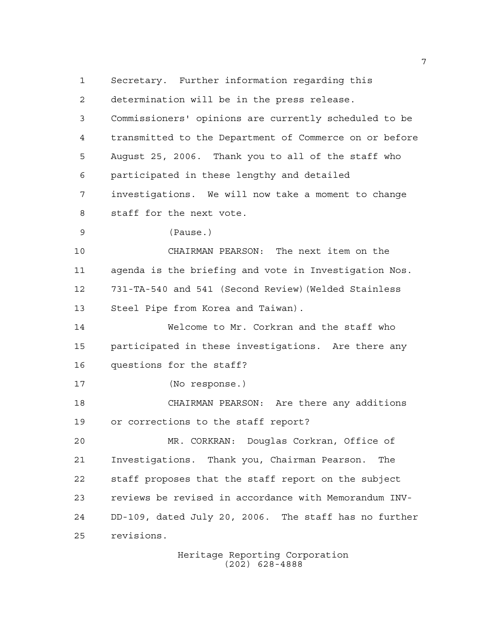Heritage Reporting Corporation Secretary. Further information regarding this determination will be in the press release. Commissioners' opinions are currently scheduled to be transmitted to the Department of Commerce on or before August 25, 2006. Thank you to all of the staff who participated in these lengthy and detailed investigations. We will now take a moment to change staff for the next vote. (Pause.) CHAIRMAN PEARSON: The next item on the agenda is the briefing and vote in Investigation Nos. 731-TA-540 and 541 (Second Review)(Welded Stainless Steel Pipe from Korea and Taiwan). Welcome to Mr. Corkran and the staff who participated in these investigations. Are there any questions for the staff? (No response.) CHAIRMAN PEARSON: Are there any additions or corrections to the staff report? MR. CORKRAN: Douglas Corkran, Office of Investigations. Thank you, Chairman Pearson. The staff proposes that the staff report on the subject reviews be revised in accordance with Memorandum INV- DD-109, dated July 20, 2006. The staff has no further revisions.

(202) 628-4888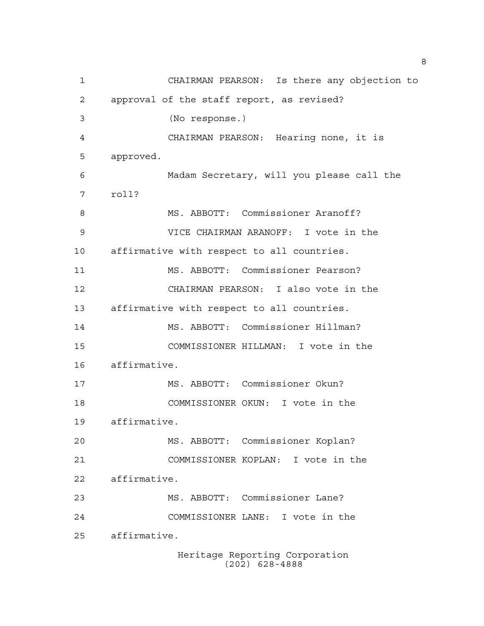Heritage Reporting Corporation CHAIRMAN PEARSON: Is there any objection to approval of the staff report, as revised? (No response.) CHAIRMAN PEARSON: Hearing none, it is approved. Madam Secretary, will you please call the roll? 8 MS. ABBOTT: Commissioner Aranoff? VICE CHAIRMAN ARANOFF: I vote in the affirmative with respect to all countries. MS. ABBOTT: Commissioner Pearson? CHAIRMAN PEARSON: I also vote in the affirmative with respect to all countries. MS. ABBOTT: Commissioner Hillman? COMMISSIONER HILLMAN: I vote in the affirmative. MS. ABBOTT: Commissioner Okun? COMMISSIONER OKUN: I vote in the affirmative. MS. ABBOTT: Commissioner Koplan? COMMISSIONER KOPLAN: I vote in the affirmative. MS. ABBOTT: Commissioner Lane? COMMISSIONER LANE: I vote in the affirmative.

(202) 628-4888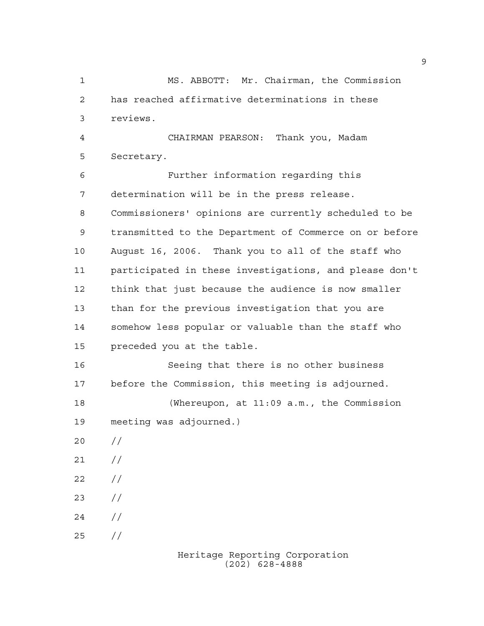MS. ABBOTT: Mr. Chairman, the Commission has reached affirmative determinations in these reviews. CHAIRMAN PEARSON: Thank you, Madam Secretary. Further information regarding this determination will be in the press release. Commissioners' opinions are currently scheduled to be transmitted to the Department of Commerce on or before August 16, 2006. Thank you to all of the staff who participated in these investigations, and please don't think that just because the audience is now smaller than for the previous investigation that you are somehow less popular or valuable than the staff who preceded you at the table. Seeing that there is no other business before the Commission, this meeting is adjourned. (Whereupon, at 11:09 a.m., the Commission meeting was adjourned.)  $20 /$  $21 /$  $22 / /$  $23 / /$  $24 /$ //

> Heritage Reporting Corporation (202) 628-4888